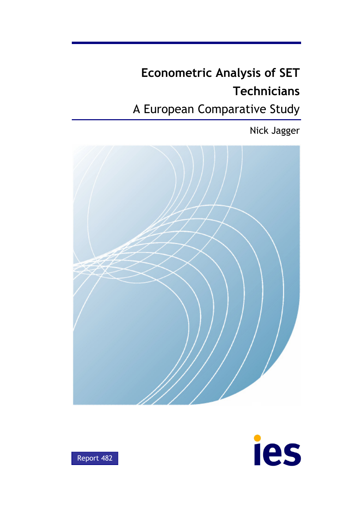# **Econometric Analysis of SET Technicians**

# A European Comparative Study

Nick Jagger





Report 482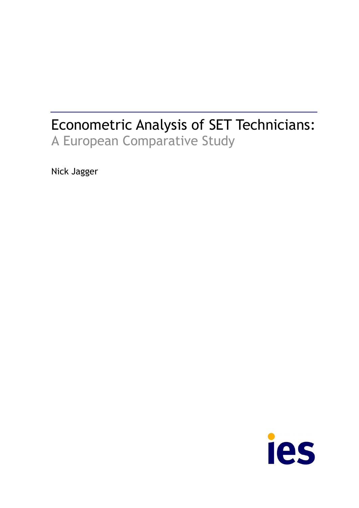# Econometric Analysis of SET Technicians: A European Comparative Study

Nick Jagger

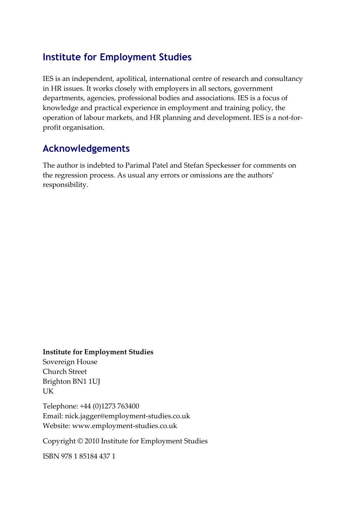## **Institute for Employment Studies**

IES is an independent, apolitical, international centre of research and consultancy in HR issues. It works closely with employers in all sectors, government departments, agencies, professional bodies and associations. IES is a focus of knowledge and practical experience in employment and training policy, the operation of labour markets, and HR planning and development. IES is a not‐for‐ profit organisation.

## **Acknowledgements**

The author is indebted to Parimal Patel and Stefan Speckesser for comments on the regression process. As usual any errors or omissions are the authors' responsibility.

#### **Institute for Employment Studies**

Sovereign House Church Street Brighton BN1 1UJ UK

Telephone: +44 (0)1273 763400 Email: nick.jagger@employment‐studies.co.uk Website: www.employment‐studies.co.uk

Copyright © 2010 Institute for Employment Studies

ISBN 978 1 85184 437 1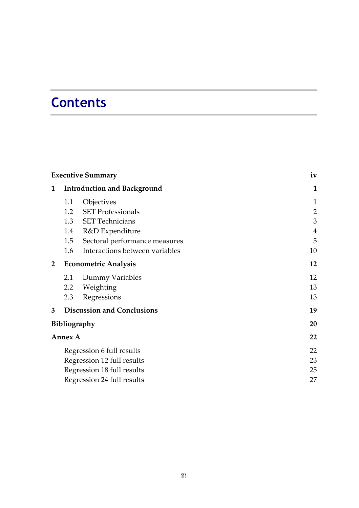# **Contents**

|                | <b>Executive Summary</b>   | iv                                 |                |  |  |
|----------------|----------------------------|------------------------------------|----------------|--|--|
| 1              |                            | <b>Introduction and Background</b> | 1              |  |  |
|                | 1.1                        | Objectives                         | $\mathbf{1}$   |  |  |
|                | 1.2                        | <b>SET Professionals</b>           | $\overline{2}$ |  |  |
|                |                            | 1.3 SET Technicians                | 3              |  |  |
|                | 1.4                        | R&D Expenditure                    | $\overline{4}$ |  |  |
|                | 1.5                        | Sectoral performance measures      | 5              |  |  |
|                | 1.6                        | Interactions between variables     | 10             |  |  |
| $\overline{2}$ |                            | <b>Econometric Analysis</b>        | 12             |  |  |
|                | 2.1                        | Dummy Variables                    | 12             |  |  |
|                | $2.2\phantom{0}$           | Weighting                          | 13             |  |  |
|                | 2.3                        | Regressions                        | 13             |  |  |
| 3              |                            | <b>Discussion and Conclusions</b>  | 19             |  |  |
|                |                            | <b>Bibliography</b>                | 20             |  |  |
|                | <b>Annex A</b>             |                                    | 22             |  |  |
|                |                            | Regression 6 full results          | 22             |  |  |
|                |                            | Regression 12 full results         | 23             |  |  |
|                |                            | Regression 18 full results         | 25             |  |  |
|                | Regression 24 full results |                                    |                |  |  |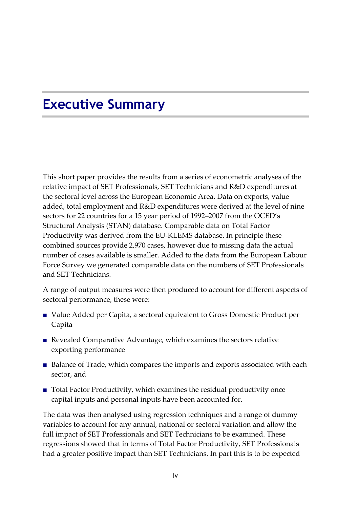# <span id="page-5-0"></span>**Executive Summary**

This short paper provides the results from a series of econometric analyses of the relative impact of SET Professionals, SET Technicians and R&D expenditures at the sectoral level across the European Economic Area. Data on exports, value added, total employment and R&D expenditures were derived at the level of nine sectors for 22 countries for a 15 year period of 1992–2007 from the OCED's Structural Analysis (STAN) database. Comparable data on Total Factor Productivity was derived from the EU‐KLEMS database. In principle these combined sources provide 2,970 cases, however due to missing data the actual number of cases available is smaller. Added to the data from the European Labour Force Survey we generated comparable data on the numbers of SET Professionals and SET Technicians.

A range of output measures were then produced to account for different aspects of sectoral performance, these were:

- Value Added per Capita, a sectoral equivalent to Gross Domestic Product per Capita
- Revealed Comparative Advantage, which examines the sectors relative exporting performance
- Balance of Trade, which compares the imports and exports associated with each sector, and
- Total Factor Productivity, which examines the residual productivity once capital inputs and personal inputs have been accounted for.

The data was then analysed using regression techniques and a range of dummy variables to account for any annual, national or sectoral variation and allow the full impact of SET Professionals and SET Technicians to be examined. These regressions showed that in terms of Total Factor Productivity, SET Professionals had a greater positive impact than SET Technicians. In part this is to be expected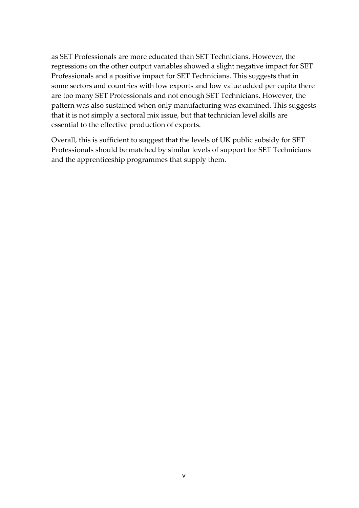as SET Professionals are more educated than SET Technicians. However, the regressions on the other output variables showed a slight negative impact for SET Professionals and a positive impact for SET Technicians. This suggests that in some sectors and countries with low exports and low value added per capita there are too many SET Professionals and not enough SET Technicians. However, the pattern was also sustained when only manufacturing was examined. This suggests that it is not simply a sectoral mix issue, but that technician level skills are essential to the effective production of exports.

Overall, this is sufficient to suggest that the levels of UK public subsidy for SET Professionals should be matched by similar levels of support for SET Technicians and the apprenticeship programmes that supply them.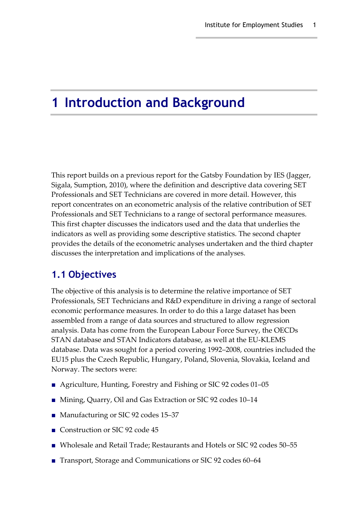# <span id="page-8-0"></span>**1 Introduction and Background**

This report builds on a previous report for the Gatsby Foundation by IES (Jagger, Sigala, Sumption, 2010), where the definition and descriptive data covering SET Professionals and SET Technicians are covered in more detail. However, this report concentrates on an econometric analysis of the relative contribution of SET Professionals and SET Technicians to a range of sectoral performance measures. This first chapter discusses the indicators used and the data that underlies the indicators as well as providing some descriptive statistics. The second chapter provides the details of the econometric analyses undertaken and the third chapter discusses the interpretation and implications of the analyses.

### <span id="page-8-1"></span>**1.1 Objectives**

The objective of this analysis is to determine the relative importance of SET Professionals, SET Technicians and R&D expenditure in driving a range of sectoral economic performance measures. In order to do this a large dataset has been assembled from a range of data sources and structured to allow regression analysis. Data has come from the European Labour Force Survey, the OECDs STAN database and STAN Indicators database, as well at the EU‐KLEMS database. Data was sought for a period covering 1992–2008, countries included the EU15 plus the Czech Republic, Hungary, Poland, Slovenia, Slovakia, Iceland and Norway. The sectors were:

- Agriculture, Hunting, Forestry and Fishing or SIC 92 codes 01–05
- Mining, Quarry, Oil and Gas Extraction or SIC 92 codes 10–14
- Manufacturing or SIC 92 codes 15–37
- Construction or SIC 92 code 45
- Wholesale and Retail Trade; Restaurants and Hotels or SIC 92 codes 50–55
- Transport, Storage and Communications or SIC 92 codes 60–64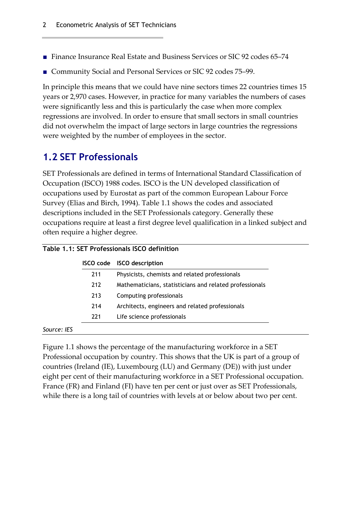- Finance Insurance Real Estate and Business Services or SIC 92 codes 65–74
- Community Social and Personal Services or SIC 92 codes 75–99.

In principle this means that we could have nine sectors times 22 countries times 15 years or 2,970 cases. However, in practice for many variables the numbers of cases were significantly less and this is particularly the case when more complex regressions are involved. In order to ensure that small sectors in small countries did not overwhelm the impact of large sectors in large countries the regressions were weighted by the number of employees in the sector.

## <span id="page-9-0"></span>**1.2 SET Professionals**

SET Professionals are defined in terms of International Standard Classification of Occupation (ISCO) 1988 codes. ISCO is the UN developed classification of occupations used by Eurostat as part of the common European Labour Force Survey (Elias and Birch, 1994). Table 1.1 shows the codes and associated descriptions included in the SET Professionals category. Generally these occupations require at least a first degree level qualification in a linked subject and often require a higher degree.

|     | ISCO code ISCO description                              |
|-----|---------------------------------------------------------|
| 211 | Physicists, chemists and related professionals          |
| 212 | Mathematicians, statisticians and related professionals |
| 213 | Computing professionals                                 |
| 214 | Architects, engineers and related professionals         |
| 221 | Life science professionals                              |

Figure 1.1 shows the percentage of the manufacturing workforce in a SET Professional occupation by country. This shows that the UK is part of a group of countries (Ireland (IE), Luxembourg (LU) and Germany (DE)) with just under eight per cent of their manufacturing workforce in a SET Professional occupation. France (FR) and Finland (FI) have ten per cent or just over as SET Professionals, while there is a long tail of countries with levels at or below about two per cent.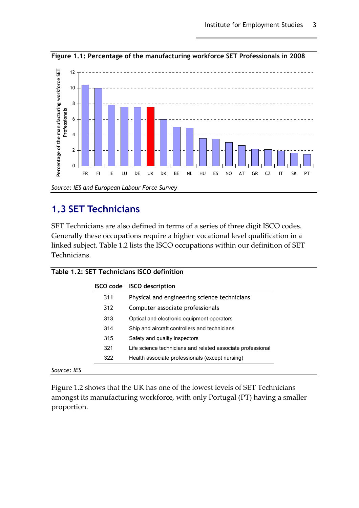

**Figure 1.1: Percentage of the manufacturing workforce SET Professionals in 2008** 

## <span id="page-10-0"></span>**1.3 SET Technicians**

SET Technicians are also defined in terms of a series of three digit ISCO codes. Generally these occupations require a higher vocational level qualification in a linked subject. Table 1.2 lists the ISCO occupations within our definition of SET Technicians.

| <b>ISCO</b> code | <b>ISCO</b> description                                     |
|------------------|-------------------------------------------------------------|
| 311              | Physical and engineering science technicians                |
| 312              | Computer associate professionals                            |
| 313              | Optical and electronic equipment operators                  |
| 314              | Ship and aircraft controllers and technicians               |
| 315              | Safety and quality inspectors                               |
| 321              | Life science technicians and related associate professional |
| 322              | Health associate professionals (except nursing)             |

| Figure 1.2 shows that the UK has one of the lowest levels of SET Technicians  |
|-------------------------------------------------------------------------------|
| amongst its manufacturing workforce, with only Portugal (PT) having a smaller |
| proportion.                                                                   |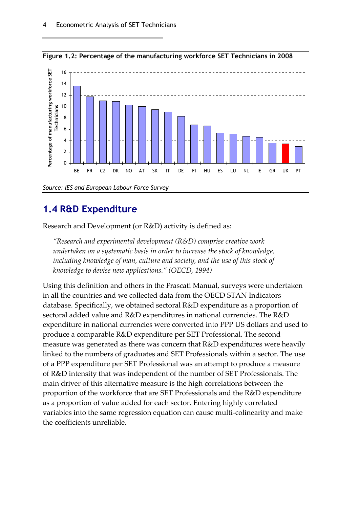

**Figure 1.2: Percentage of the manufacturing workforce SET Technicians in 2008** 

## <span id="page-11-0"></span>**1.4 R&D Expenditure**

Research and Development (or R&D) activity is defined as:

*"Research and experimental development (R&D) comprise creative work undertaken on a systematic basis in order to increase the stock of knowledge, including knowledge of man, culture and society, and the use of this stock of knowledge to devise new applications." (OECD, 1994)*

Using this definition and others in the Frascati Manual, surveys were undertaken in all the countries and we collected data from the OECD STAN Indicators database. Specifically, we obtained sectoral R&D expenditure as a proportion of sectoral added value and R&D expenditures in national currencies. The R&D expenditure in national currencies were converted into PPP US dollars and used to produce a comparable R&D expenditure per SET Professional. The second measure was generated as there was concern that R&D expenditures were heavily linked to the numbers of graduates and SET Professionals within a sector. The use of a PPP expenditure per SET Professional was an attempt to produce a measure of R&D intensity that was independent of the number of SET Professionals. The main driver of this alternative measure is the high correlations between the proportion of the workforce that are SET Professionals and the R&D expenditure as a proportion of value added for each sector. Entering highly correlated variables into the same regression equation can cause multi‐colinearity and make the coefficients unreliable.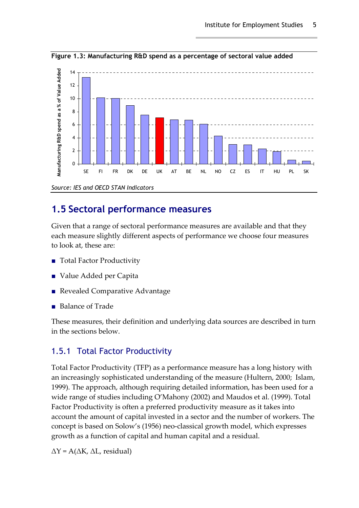

**Figure 1.3: Manufacturing R&D spend as a percentage of sectoral value added** 

## <span id="page-12-0"></span>**1.5 Sectoral performance measures**

Given that a range of sectoral performance measures are available and that they each measure slightly different aspects of performance we choose four measures to look at, these are:

- Total Factor Productivity
- Value Added per Capita
- Revealed Comparative Advantage
- Balance of Trade

These measures, their definition and underlying data sources are described in turn in the sections below.

### 1.5.1 Total Factor Productivity

Total Factor Productivity (TFP) as a performance measure has a long history with an increasingly sophisticated understanding of the measure (Hultern, 2000; Islam, 1999). The approach, although requiring detailed information, has been used for a wide range of studies including O'Mahony (2002) and Maudos et al. (1999). Total Factor Productivity is often a preferred productivity measure as it takes into account the amount of capital invested in a sector and the number of workers. The concept is based on Solow's (1956) neo‐classical growth model, which expresses growth as a function of capital and human capital and a residual.

 $\Delta Y$  = A( $\Delta K$ ,  $\Delta L$ , residual)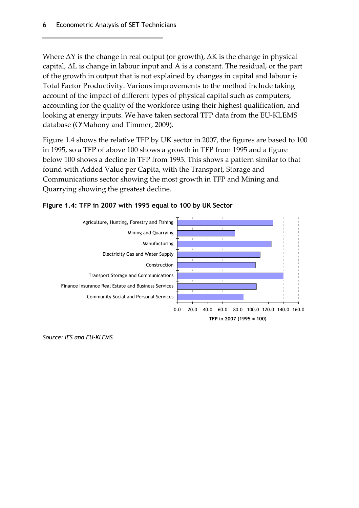Where  $\Delta Y$  is the change in real output (or growth),  $\Delta K$  is the change in physical capital, ΔL is change in labour input and A is a constant. The residual, or the part of the growth in output that is not explained by changes in capital and labour is Total Factor Productivity. Various improvements to the method include taking account of the impact of different types of physical capital such as computers, accounting for the quality of the workforce using their highest qualification, and looking at energy inputs. We have taken sectoral TFP data from the EU‐KLEMS database (O'Mahony and Timmer, 2009).

Figure 1.4 shows the relative TFP by UK sector in 2007, the figures are based to 100 in 1995, so a TFP of above 100 shows a growth in TFP from 1995 and a figure below 100 shows a decline in TFP from 1995. This shows a pattern similar to that found with Added Value per Capita, with the Transport, Storage and Communications sector showing the most growth in TFP and Mining and Quarrying showing the greatest decline.



#### **Figure 1.4: TFP in 2007 with 1995 equal to 100 by UK Sector**

*Source: IES and EU-KLEMS*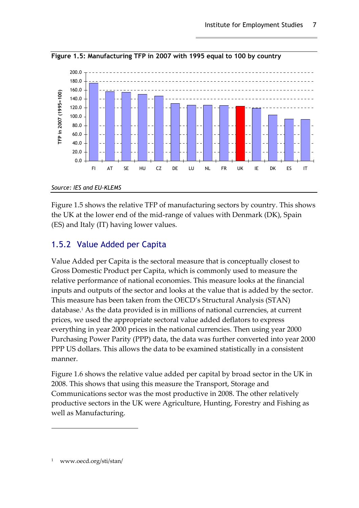

**Figure 1.5: Manufacturing TFP in 2007 with 1995 equal to 100 by country** 

*Source: IES and EU-KLEMS* 

Figure 1.5 shows the relative TFP of manufacturing sectors by country. This shows the UK at the lower end of the mid‐range of values with Denmark (DK), Spain (ES) and Italy (IT) having lower values.

### 1.5.2 Value Added per Capita

Value Added per Capita is the sectoral measure that is conceptually closest to Gross Domestic Product per Capita, which is commonly used to measure the relative performance of national economies. This measure looks at the financial inputs and outputs of the sector and looks at the value that is added by the sector. This measure has been taken from the OECD's Structural Analysis (STAN) database[.1](#page-14-0) As the data provided is in millions of national currencies, at current prices, we used the appropriate sectoral value added deflators to express everything in year 2000 prices in the national currencies. Then using year 2000 Purchasing Power Parity (PPP) data, the data was further converted into year 2000 PPP US dollars. This allows the data to be examined statistically in a consistent manner.

Figure 1.6 shows the relative value added per capital by broad sector in the UK in 2008. This shows that using this measure the Transport, Storage and Communications sector was the most productive in 2008. The other relatively productive sectors in the UK were Agriculture, Hunting, Forestry and Fishing as well as Manufacturing.

<span id="page-14-0"></span>www.oecd.org/sti/stan/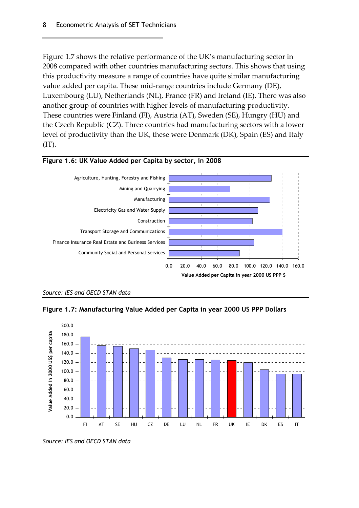Figure 1.7 shows the relative performance of the UK's manufacturing sector in 2008 compared with other countries manufacturing sectors. This shows that using this productivity measure a range of countries have quite similar manufacturing value added per capita. These mid‐range countries include Germany (DE), Luxembourg (LU), Netherlands (NL), France (FR) and Ireland (IE). There was also another group of countries with higher levels of manufacturing productivity. These countries were Finland (FI), Austria (AT), Sweden (SE), Hungry (HU) and the Czech Republic (CZ). Three countries had manufacturing sectors with a lower level of productivity than the UK, these were Denmark (DK), Spain (ES) and Italy (IT).



#### **Figure 1.6: UK Value Added per Capita by sector, in 2008**







*Source: IES and OECD STAN data*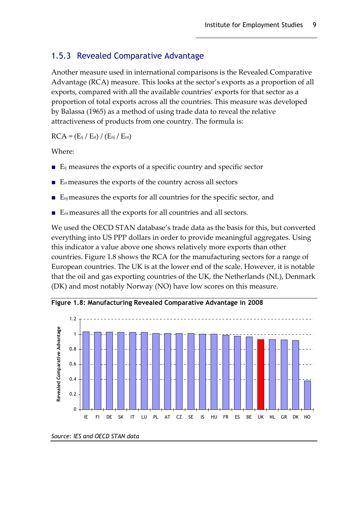#### 1.5.3 Revealed Comparative Advantage

Another measure used in international comparisons is the Revealed Comparative Advantage (RCA) measure. This looks at the sector's exports as a proportion of all exports, compared with all the available countries' exports for that sector as a proportion of total exports across all the countries. This measure was developed by Balassa (1965) as a method of using trade data to reveal the relative attractiveness of products from one country. The formula is:

 $RCA = (E_{ij} / E_{it}) / (E_{nj} / E_{nt})$ 

Where:

- $\blacksquare$  E<sub>ij</sub> measures the exports of a specific country and specific sector
- $\blacksquare$  E<sub>it</sub> measures the exports of the country across all sectors
- $E_{\text{nj}}$  measures the exports for all countries for the specific sector, and
- E<sub>nt</sub> measures all the exports for all countries and all sectors.

We used the OECD STAN database's trade data as the basis for this, but converted everything into US PPP dollars in order to provide meaningful aggregates. Using this indicator a value above one shows relatively more exports than other countries. Figure 1.8 shows the RCA for the manufacturing sectors for a range of European countries. The UK is at the lower end of the scale. However, it is notable that the oil and gas exporting countries of the UK, the Netherlands (NL), Denmark (DK) and most notably Norway (NO) have low scores on this measure.



**Figure 1.8: Manufacturing Revealed Comparative Advantage in 2008** 

*Source: IES and OECD STAN data*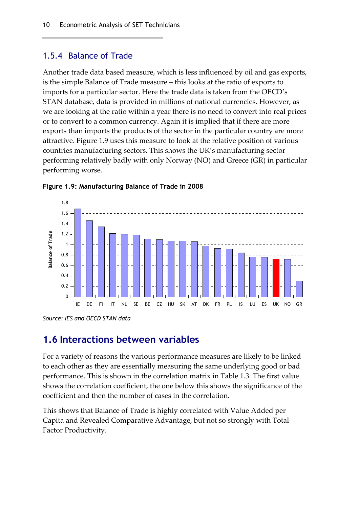#### 1.5.4 Balance of Trade

Another trade data based measure, which is less influenced by oil and gas exports, is the simple Balance of Trade measure – this looks at the ratio of exports to imports for a particular sector. Here the trade data is taken from the OECD's STAN database, data is provided in millions of national currencies. However, as we are looking at the ratio within a year there is no need to convert into real prices or to convert to a common currency. Again it is implied that if there are more exports than imports the products of the sector in the particular country are more attractive. Figure 1.9 uses this measure to look at the relative position of various countries manufacturing sectors. This shows the UK's manufacturing sector performing relatively badly with only Norway (NO) and Greece (GR) in particular performing worse.



**Figure 1.9: Manufacturing Balance of Trade in 2008** 

### <span id="page-17-0"></span>**1.6 Interactions between variables**

For a variety of reasons the various performance measures are likely to be linked to each other as they are essentially measuring the same underlying good or bad performance. This is shown in the correlation matrix in Table 1.3. The first value shows the correlation coefficient, the one below this shows the significance of the coefficient and then the number of cases in the correlation.

This shows that Balance of Trade is highly correlated with Value Added per Capita and Revealed Comparative Advantage, but not so strongly with Total Factor Productivity.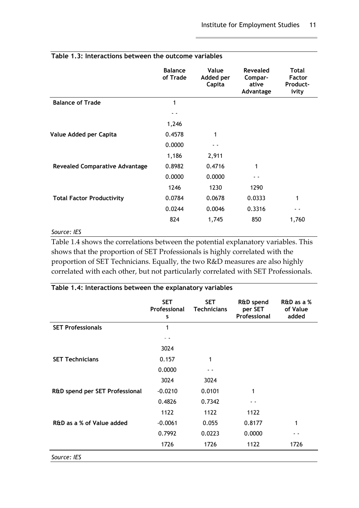| Table 1.3. Interactions between the outcome variables |                            |                              |                                           |                                                    |  |  |  |  |
|-------------------------------------------------------|----------------------------|------------------------------|-------------------------------------------|----------------------------------------------------|--|--|--|--|
|                                                       | <b>Balance</b><br>of Trade | Value<br>Added per<br>Capita | Revealed<br>Compar-<br>ative<br>Advantage | <b>Total</b><br><b>Factor</b><br>Product-<br>ivity |  |  |  |  |
| <b>Balance of Trade</b>                               | 1                          |                              |                                           |                                                    |  |  |  |  |
|                                                       |                            |                              |                                           |                                                    |  |  |  |  |
|                                                       | 1,246                      |                              |                                           |                                                    |  |  |  |  |
| Value Added per Capita                                | 0.4578                     | 1                            |                                           |                                                    |  |  |  |  |
|                                                       | 0.0000                     |                              |                                           |                                                    |  |  |  |  |
|                                                       | 1,186                      | 2,911                        |                                           |                                                    |  |  |  |  |
| <b>Revealed Comparative Advantage</b>                 | 0.8982                     | 0.4716                       | 1                                         |                                                    |  |  |  |  |
|                                                       | 0.0000                     | 0.0000                       |                                           |                                                    |  |  |  |  |
|                                                       | 1246                       | 1230                         | 1290                                      |                                                    |  |  |  |  |
| <b>Total Factor Productivity</b>                      | 0.0784                     | 0.0678                       | 0.0333                                    | 1                                                  |  |  |  |  |
|                                                       | 0.0244                     | 0.0046                       | 0.3316                                    | - -                                                |  |  |  |  |
|                                                       | 824                        | 1,745                        | 850                                       | 1,760                                              |  |  |  |  |
|                                                       |                            |                              |                                           |                                                    |  |  |  |  |

#### **Table 1.3: Interactions between the outcome variables**

#### *Source: IES*

Table 1.4 shows the correlations between the potential explanatory variables. This shows that the proportion of SET Professionals is highly correlated with the proportion of SET Technicians. Equally, the two R&D measures are also highly correlated with each other, but not particularly correlated with SET Professionals.

| Table 1.4: Interactions between the explanatory variables | <b>SET</b><br>Professional<br>s | <b>SET</b><br><b>Technicians</b> | <b>R&amp;D</b> spend<br>per SET<br>Professional | R&D as a %<br>of Value<br>added |
|-----------------------------------------------------------|---------------------------------|----------------------------------|-------------------------------------------------|---------------------------------|
| <b>SET Professionals</b>                                  | 1                               |                                  |                                                 |                                 |
|                                                           |                                 |                                  |                                                 |                                 |
|                                                           | 3024                            |                                  |                                                 |                                 |
| <b>SET Technicians</b>                                    | 0.157                           | 1                                |                                                 |                                 |
|                                                           | 0.0000                          |                                  |                                                 |                                 |
|                                                           | 3024                            | 3024                             |                                                 |                                 |
| R&D spend per SET Professional                            | $-0.0210$                       | 0.0101                           | 1                                               |                                 |
|                                                           | 0.4826                          | 0.7342                           |                                                 |                                 |
|                                                           | 1122                            | 1122                             | 1122                                            |                                 |
| R&D as a % of Value added                                 | $-0.0061$                       | 0.055                            | 0.8177                                          |                                 |
|                                                           | 0.7992                          | 0.0223                           | 0.0000                                          |                                 |
|                                                           | 1726                            | 1726                             | 1122                                            | 1726                            |
| Source: IES                                               |                                 |                                  |                                                 |                                 |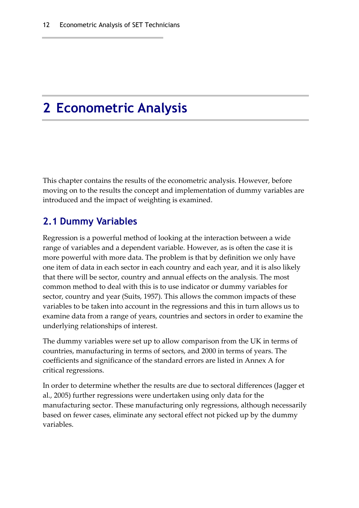# <span id="page-19-0"></span>**2 Econometric Analysis**

This chapter contains the results of the econometric analysis. However, before moving on to the results the concept and implementation of dummy variables are introduced and the impact of weighting is examined.

### <span id="page-19-1"></span>**2.1 Dummy Variables**

Regression is a powerful method of looking at the interaction between a wide range of variables and a dependent variable. However, as is often the case it is more powerful with more data. The problem is that by definition we only have one item of data in each sector in each country and each year, and it is also likely that there will be sector, country and annual effects on the analysis. The most common method to deal with this is to use indicator or dummy variables for sector, country and year (Suits, 1957). This allows the common impacts of these variables to be taken into account in the regressions and this in turn allows us to examine data from a range of years, countries and sectors in order to examine the underlying relationships of interest.

The dummy variables were set up to allow comparison from the UK in terms of countries, manufacturing in terms of sectors, and 2000 in terms of years. The coefficients and significance of the standard errors are listed in Annex A for critical regressions.

In order to determine whether the results are due to sectoral differences (Jagger et al., 2005) further regressions were undertaken using only data for the manufacturing sector. These manufacturing only regressions, although necessarily based on fewer cases, eliminate any sectoral effect not picked up by the dummy variables.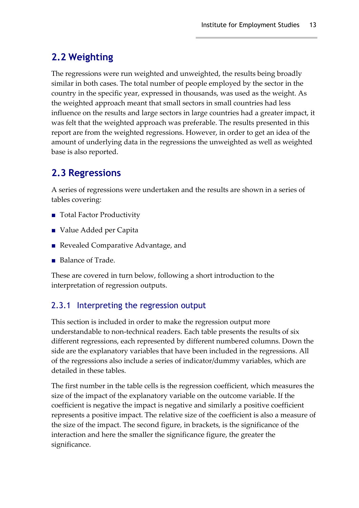## <span id="page-20-0"></span>**2.2 Weighting**

The regressions were run weighted and unweighted, the results being broadly similar in both cases. The total number of people employed by the sector in the country in the specific year, expressed in thousands, was used as the weight. As the weighted approach meant that small sectors in small countries had less influence on the results and large sectors in large countries had a greater impact, it was felt that the weighted approach was preferable. The results presented in this report are from the weighted regressions. However, in order to get an idea of the amount of underlying data in the regressions the unweighted as well as weighted base is also reported.

## <span id="page-20-1"></span>**2.3 Regressions**

A series of regressions were undertaken and the results are shown in a series of tables covering:

- Total Factor Productivity
- Value Added per Capita
- Revealed Comparative Advantage, and
- Balance of Trade.

These are covered in turn below, following a short introduction to the interpretation of regression outputs.

### 2.3.1 Interpreting the regression output

This section is included in order to make the regression output more understandable to non‐technical readers. Each table presents the results of six different regressions, each represented by different numbered columns. Down the side are the explanatory variables that have been included in the regressions. All of the regressions also include a series of indicator/dummy variables, which are detailed in these tables.

The first number in the table cells is the regression coefficient, which measures the size of the impact of the explanatory variable on the outcome variable. If the coefficient is negative the impact is negative and similarly a positive coefficient represents a positive impact. The relative size of the coefficient is also a measure of the size of the impact. The second figure, in brackets, is the significance of the interaction and here the smaller the significance figure, the greater the significance.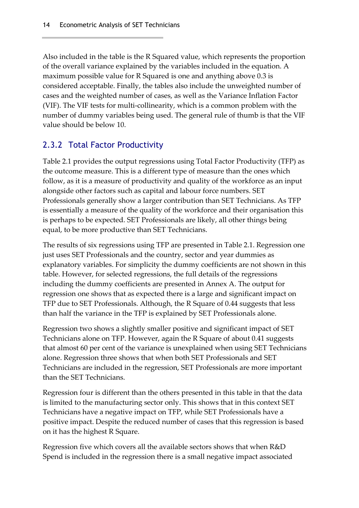Also included in the table is the R Squared value, which represents the proportion of the overall variance explained by the variables included in the equation. A maximum possible value for R Squared is one and anything above 0.3 is considered acceptable. Finally, the tables also include the unweighted number of cases and the weighted number of cases, as well as the Variance Inflation Factor (VIF). The VIF tests for multi‐collinearity, which is a common problem with the number of dummy variables being used. The general rule of thumb is that the VIF value should be below 10.

### 2.3.2 Total Factor Productivity

Table 2.1 provides the output regressions using Total Factor Productivity (TFP) as the outcome measure. This is a different type of measure than the ones which follow, as it is a measure of productivity and quality of the workforce as an input alongside other factors such as capital and labour force numbers. SET Professionals generally show a larger contribution than SET Technicians. As TFP is essentially a measure of the quality of the workforce and their organisation this is perhaps to be expected. SET Professionals are likely, all other things being equal, to be more productive than SET Technicians.

The results of six regressions using TFP are presented in Table 2.1. Regression one just uses SET Professionals and the country, sector and year dummies as explanatory variables. For simplicity the dummy coefficients are not shown in this table. However, for selected regressions, the full details of the regressions including the dummy coefficients are presented in Annex A. The output for regression one shows that as expected there is a large and significant impact on TFP due to SET Professionals. Although, the R Square of 0.44 suggests that less than half the variance in the TFP is explained by SET Professionals alone.

Regression two shows a slightly smaller positive and significant impact of SET Technicians alone on TFP. However, again the R Square of about 0.41 suggests that almost 60 per cent of the variance is unexplained when using SET Technicians alone. Regression three shows that when both SET Professionals and SET Technicians are included in the regression, SET Professionals are more important than the SET Technicians.

Regression four is different than the others presented in this table in that the data is limited to the manufacturing sector only. This shows that in this context SET Technicians have a negative impact on TFP, while SET Professionals have a positive impact. Despite the reduced number of cases that this regression is based on it has the highest R Square.

Regression five which covers all the available sectors shows that when R&D Spend is included in the regression there is a small negative impact associated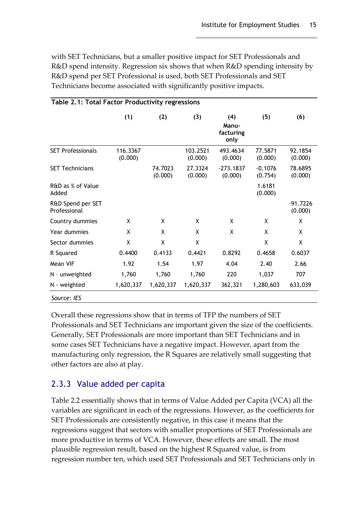with SET Technicians, but a smaller positive impact for SET Professionals and R&D spend intensity. Regression six shows that when R&D spending intensity by R&D spend per SET Professional is used, both SET Professionals and SET Technicians become associated with significantly positive impacts.

|                                   | (1)                 | (2)                | (3)                 | (4)<br>Manu-<br>facturing<br>only | (5)                  | (6)                 |
|-----------------------------------|---------------------|--------------------|---------------------|-----------------------------------|----------------------|---------------------|
| <b>SET Professionals</b>          | 116.3367<br>(0.000) |                    | 103.2521<br>(0.000) | 493.4634<br>(0.000)               | 77.5871<br>(0.000)   | 92.1854<br>(0.000)  |
| <b>SET Technicians</b>            |                     | 74.7023<br>(0.000) | 27.3324<br>(0.000)  | $-273.1837$<br>(0.000)            | $-0.1076$<br>(0.754) | 78.6895<br>(0.000)  |
| R&D as % of Value<br>Added        |                     |                    |                     |                                   | 1.6181<br>(0.000)    |                     |
| R&D Spend per SET<br>Professional |                     |                    |                     |                                   |                      | -91.7226<br>(0.000) |
| Country dummies                   | X                   | X                  | X                   | X                                 | X                    | X                   |
| Year dummies                      | X                   | X                  | X                   | X                                 | X                    | X                   |
| Sector dummies                    | Χ                   | X                  | X                   |                                   | X                    | X                   |
| R Squared                         | 0.4400              | 0.4133             | 0.4421              | 0.8292                            | 0.4658               | 0.6037              |
| Mean VIF                          | 1.92                | 1.54               | 1.97                | 4.04                              | 2.40                 | 2.66                |
| N - unweighted                    | 1,760               | 1,760              | 1,760               | 220                               | 1,037                | 707                 |
| N - weighted                      | 1,620,337           | 1,620,337          | 1,620,337           | 362,321                           | 1,280,603            | 633,039             |

#### **Table 2.1: Total Factor Productivity regressions**

Overall these regressions show that in terms of TFP the numbers of SET Professionals and SET Technicians are important given the size of the coefficients. Generally, SET Professionals are more important than SET Technicians and in some cases SET Technicians have a negative impact. However, apart from the manufacturing only regression, the R Squares are relatively small suggesting that other factors are also at play.

### 2.3.3 Value added per capita

Table 2.2 essentially shows that in terms of Value Added per Capita (VCA) all the variables are significant in each of the regressions. However, as the coefficients for SET Professionals are consistently negative, in this case it means that the regressions suggest that sectors with smaller proportions of SET Professionals are more productive in terms of VCA. However, these effects are small. The most plausible regression result, based on the highest R Squared value, is from regression number ten, which used SET Professionals and SET Technicians only in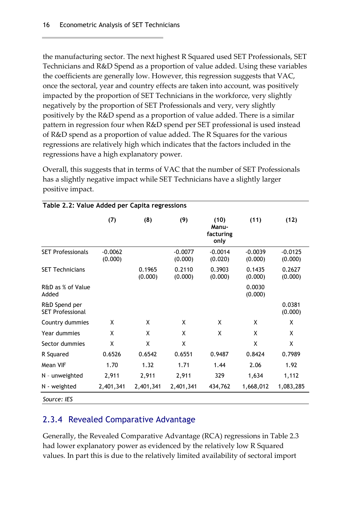the manufacturing sector. The next highest R Squared used SET Professionals, SET Technicians and R&D Spend as a proportion of value added. Using these variables the coefficients are generally low. However, this regression suggests that VAC, once the sectoral, year and country effects are taken into account, was positively impacted by the proportion of SET Technicians in the workforce, very slightly negatively by the proportion of SET Professionals and very, very slightly positively by the R&D spend as a proportion of value added. There is a similar pattern in regression four when R&D spend per SET professional is used instead of R&D spend as a proportion of value added. The R Squares for the various regressions are relatively high which indicates that the factors included in the regressions have a high explanatory power.

Overall, this suggests that in terms of VAC that the number of SET Professionals has a slightly negative impact while SET Technicians have a slightly larger positive impact.

|                                          | (7)                  | (8)               | (9)                  | (10)<br>Manu-<br>facturing<br>only | (11)                 | (12)                 |
|------------------------------------------|----------------------|-------------------|----------------------|------------------------------------|----------------------|----------------------|
| <b>SET Professionals</b>                 | $-0.0062$<br>(0.000) |                   | $-0.0077$<br>(0.000) | $-0.0014$<br>(0.020)               | $-0.0039$<br>(0.000) | $-0.0125$<br>(0.000) |
| <b>SET Technicians</b>                   |                      | 0.1965<br>(0.000) | 0.2110<br>(0.000)    | 0.3903<br>(0.000)                  | 0.1435<br>(0.000)    | 0.2627<br>(0.000)    |
| R&D as % of Value<br>Added               |                      |                   |                      |                                    | 0.0030<br>(0.000)    |                      |
| R&D Spend per<br><b>SET Professional</b> |                      |                   |                      |                                    |                      | 0.0381<br>(0.000)    |
| Country dummies                          | χ                    | χ                 | X                    | χ                                  | χ                    | X                    |
| Year dummies                             | X                    | X                 | χ                    | χ                                  | χ                    | χ                    |
| Sector dummies                           | X                    | X                 | χ                    |                                    | χ                    | X                    |
| R Squared                                | 0.6526               | 0.6542            | 0.6551               | 0.9487                             | 0.8424               | 0.7989               |
| Mean VIF                                 | 1.70                 | 1.32              | 1.71                 | 1.44                               | 2.06                 | 1.92                 |
| N - unweighted                           | 2,911                | 2,911             | 2,911                | 329                                | 1,634                | 1,112                |
| N - weighted                             | 2,401,341            | 2,401,341         | 2,401,341            | 434,762                            | 1,668,012            | 1,083,285            |
| Source: IES                              |                      |                   |                      |                                    |                      |                      |

#### **Table 2.2: Value Added per Capita regressions**

#### 2.3.4 Revealed Comparative Advantage

Generally, the Revealed Comparative Advantage (RCA) regressions in Table 2.3 had lower explanatory power as evidenced by the relatively low R Squared values. In part this is due to the relatively limited availability of sectoral import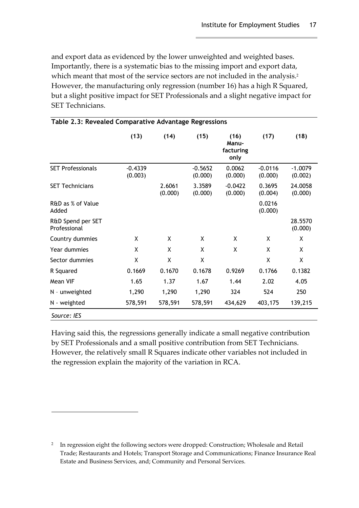and export data as evidenced by the lower unweighted and weighted bases. Importantly, there is a systematic bias to the missing import and export data, which meant that most of the service sectors are not included in the analysis.<sup>2</sup> However, the manufacturing only regression (number 16) has a high R Squared, but a slight positive impact for SET Professionals and a slight negative impact for SET Technicians.

|                                   | (13)                 | (14)              | (15)                 | (16)<br>Manu-<br>facturing<br>only | (17)                 | (18)                 |
|-----------------------------------|----------------------|-------------------|----------------------|------------------------------------|----------------------|----------------------|
| <b>SET Professionals</b>          | $-0.4339$<br>(0.003) |                   | $-0.5652$<br>(0.000) | 0.0062<br>(0.000)                  | $-0.0116$<br>(0.000) | $-1.0079$<br>(0.002) |
| <b>SET Technicians</b>            |                      | 2.6061<br>(0.000) | 3.3589<br>(0.000)    | $-0.0422$<br>(0.000)               | 0.3695<br>(0.004)    | 24.0058<br>(0.000)   |
| R&D as % of Value<br>Added        |                      |                   |                      |                                    | 0.0216<br>(0.000)    |                      |
| R&D Spend per SET<br>Professional |                      |                   |                      |                                    |                      | 28.5570<br>(0.000)   |
| Country dummies                   | X                    | X                 | X                    | X                                  | X                    | X                    |
| Year dummies                      | X                    | X                 | X                    | X                                  | X                    | X                    |
| Sector dummies                    | χ                    | X                 | X                    |                                    | X                    | X                    |
| R Squared                         | 0.1669               | 0.1670            | 0.1678               | 0.9269                             | 0.1766               | 0.1382               |
| Mean VIF                          | 1.65                 | 1.37              | 1.67                 | 1.44                               | 2.02                 | 4.05                 |
| N - unweighted                    | 1,290                | 1,290             | 1,290                | 324                                | 524                  | 250                  |
| N - weighted                      | 578,591              | 578,591           | 578,591              | 434,629                            | 403,175              | 139,215              |
| Source: IES                       |                      |                   |                      |                                    |                      |                      |

|  |  |  | Table 2.3: Revealed Comparative Advantage Regressions |
|--|--|--|-------------------------------------------------------|
|  |  |  |                                                       |

Having said this, the regressions generally indicate a small negative contribution by SET Professionals and a small positive contribution from SET Technicians. However, the relatively small R Squares indicate other variables not included in the regression explain the majority of the variation in RCA.

<span id="page-24-0"></span><sup>&</sup>lt;sup>2</sup> In regression eight the following sectors were dropped: Construction; Wholesale and Retail Trade; Restaurants and Hotels; Transport Storage and Communications; Finance Insurance Real Estate and Business Services, and; Community and Personal Services.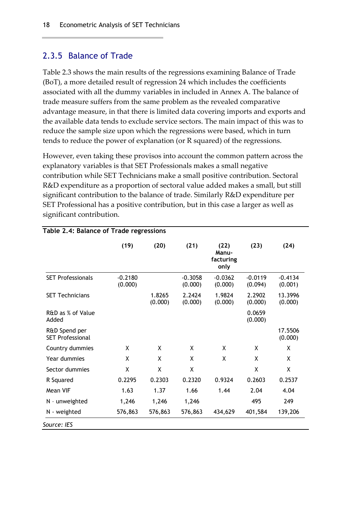#### 2.3.5 Balance of Trade

Table 2.3 shows the main results of the regressions examining Balance of Trade (BoT), a more detailed result of regression 24 which includes the coefficients associated with all the dummy variables in included in Annex A. The balance of trade measure suffers from the same problem as the revealed comparative advantage measure, in that there is limited data covering imports and exports and the available data tends to exclude service sectors. The main impact of this was to reduce the sample size upon which the regressions were based, which in turn tends to reduce the power of explanation (or R squared) of the regressions.

However, even taking these provisos into account the common pattern across the explanatory variables is that SET Professionals makes a small negative contribution while SET Technicians make a small positive contribution. Sectoral R&D expenditure as a proportion of sectoral value added makes a small, but still significant contribution to the balance of trade. Similarly R&D expenditure per SET Professional has a positive contribution, but in this case a larger as well as significant contribution.

|                                          | (19)                 | (20)              | (21)                 | (22)<br>Manu-<br>facturing<br>only | (23)                 | (24)                 |
|------------------------------------------|----------------------|-------------------|----------------------|------------------------------------|----------------------|----------------------|
| <b>SET Professionals</b>                 | $-0.2180$<br>(0.000) |                   | $-0.3058$<br>(0.000) | $-0.0362$<br>(0.000)               | $-0.0119$<br>(0.094) | $-0.4134$<br>(0.001) |
| <b>SET Technicians</b>                   |                      | 1.8265<br>(0.000) | 2.2424<br>(0.000)    | 1.9824<br>(0.000)                  | 2.2902<br>(0.000)    | 13.3996<br>(0.000)   |
| R&D as % of Value<br>Added               |                      |                   |                      |                                    | 0.0659<br>(0.000)    |                      |
| R&D Spend per<br><b>SET Professional</b> |                      |                   |                      |                                    |                      | 17.5506<br>(0.000)   |
| Country dummies                          | X                    | X                 | X                    | X                                  | X                    | X                    |
| Year dummies                             | X                    | X                 | X                    | X                                  | X                    | X                    |
| Sector dummies                           | χ                    | X                 | X                    |                                    | X                    | X                    |
| R Squared                                | 0.2295               | 0.2303            | 0.2320               | 0.9324                             | 0.2603               | 0.2537               |
| Mean VIF                                 | 1.63                 | 1.37              | 1.66                 | 1.44                               | 2.04                 | 4.04                 |
| N - unweighted                           | 1,246                | 1,246             | 1,246                |                                    | 495                  | 249                  |
| N - weighted                             | 576,863              | 576,863           | 576,863              | 434,629                            | 401,584              | 139,206              |

#### **Table 2.4: Balance of Trade regressions**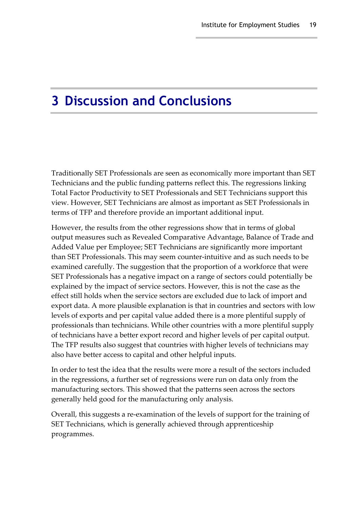## <span id="page-26-0"></span>**3 Discussion and Conclusions**

Traditionally SET Professionals are seen as economically more important than SET Technicians and the public funding patterns reflect this. The regressions linking Total Factor Productivity to SET Professionals and SET Technicians support this view. However, SET Technicians are almost as important as SET Professionals in terms of TFP and therefore provide an important additional input.

However, the results from the other regressions show that in terms of global output measures such as Revealed Comparative Advantage, Balance of Trade and Added Value per Employee; SET Technicians are significantly more important than SET Professionals. This may seem counter‐intuitive and as such needs to be examined carefully. The suggestion that the proportion of a workforce that were SET Professionals has a negative impact on a range of sectors could potentially be explained by the impact of service sectors. However, this is not the case as the effect still holds when the service sectors are excluded due to lack of import and export data. A more plausible explanation is that in countries and sectors with low levels of exports and per capital value added there is a more plentiful supply of professionals than technicians. While other countries with a more plentiful supply of technicians have a better export record and higher levels of per capital output. The TFP results also suggest that countries with higher levels of technicians may also have better access to capital and other helpful inputs.

In order to test the idea that the results were more a result of the sectors included in the regressions, a further set of regressions were run on data only from the manufacturing sectors. This showed that the patterns seen across the sectors generally held good for the manufacturing only analysis.

Overall, this suggests a re‐examination of the levels of support for the training of SET Technicians, which is generally achieved through apprenticeship programmes.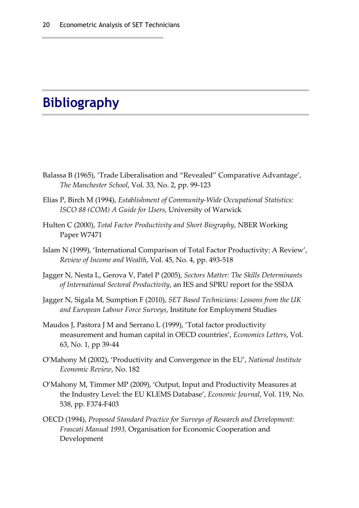# <span id="page-27-0"></span>**Bibliography**

- Balassa B (1965), 'Trade Liberalisation and "Revealed" Comparative Advantage', *The Manchester School*, Vol. 33, No. 2, pp. 99‐123
- Elias P, Birch M (1994), *Establishment of Community‐Wide Occupational Statistics: ISCO 88 (COM) A Guide for Users*, University of Warwick
- Hulten C (2000), *Total Factor Productivity and Short Biography*, NBER Working Paper W7471
- Islam N (1999), 'International Comparison of Total Factor Productivity: A Review', *Review of Income and Wealth*, Vol. 45, No. 4, pp. 493‐518
- Jagger N, Nesta L, Gerova V, Patel P (2005), *Sectors Matter: The Skills Determinants of International Sectoral Productivity*, an IES and SPRU report for the SSDA
- Jagger N, Sigala M, Sumption F (2010), *SET Based Technicians: Lessons from the UK and European Labour Force Surveys*, Institute for Employment Studies
- Maudos J, Pastora J M and Serrano L (1999), 'Total factor productivity measurement and human capital in OECD countries', *Economics Letters*, Vol. 63, No. 1, pp 39‐44
- O'Mahony M (2002), 'Productivity and Convergence in the EU', *National Institute Economic Review*, No. 182
- O'Mahony M, Timmer MP (2009), 'Output, Input and Productivity Measures at the Industry Level: the EU KLEMS Database', *Economic Journal*, Vol. 119, No. 538, pp. F374‐F403
- OECD (1994), *Proposed Standard Practice for Surveys of Research and Development: Frascati Manual 1993,* Organisation for Economic Cooperation and Development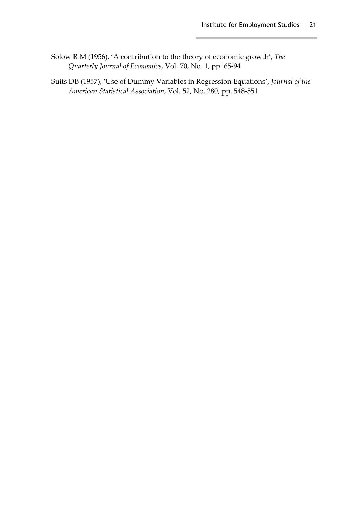- Solow R M (1956), 'A contribution to the theory of economic growth', *The Quarterly Journal of Economics*, Vol. 70, No. 1, pp. 65‐94
- Suits DB (1957), 'Use of Dummy Variables in Regression Equations', *Journal of the American Statistical Association*, Vol. 52, No. 280, pp. 548‐551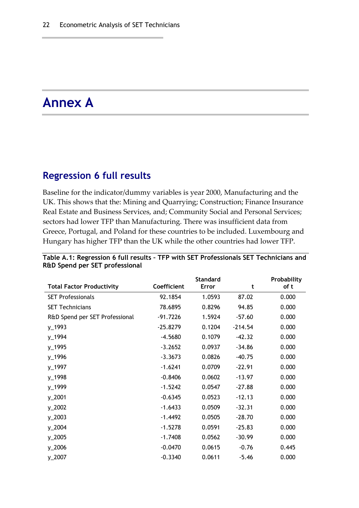# <span id="page-29-0"></span>**Annex A**

#### <span id="page-29-1"></span>**Regression 6 full results**

Baseline for the indicator/dummy variables is year 2000, Manufacturing and the UK. This shows that the: Mining and Quarrying; Construction; Finance Insurance Real Estate and Business Services, and; Community Social and Personal Services; sectors had lower TFP than Manufacturing. There was insufficient data from Greece, Portugal, and Poland for these countries to be included. Luxembourg and Hungary has higher TFP than the UK while the other countries had lower TFP.

| <b>Total Factor Productivity</b> | Coefficient | <b>Standard</b><br>Error | t         | Probability<br>of t |
|----------------------------------|-------------|--------------------------|-----------|---------------------|
| <b>SET Professionals</b>         | 92.1854     | 1.0593                   | 87.02     | 0.000               |
| <b>SET Technicians</b>           | 78.6895     | 0.8296                   | 94.85     | 0.000               |
| R&D Spend per SET Professional   | $-91.7226$  | 1.5924                   | $-57.60$  | 0.000               |
| $y_1$ 1993                       | $-25.8279$  | 0.1204                   | $-214.54$ | 0.000               |
| y_1994                           | $-4.5680$   | 0.1079                   | $-42.32$  | 0.000               |
| $y_1$ 1995                       | $-3.2652$   | 0.0937                   | $-34.86$  | 0.000               |
| y_1996                           | $-3.3673$   | 0.0826                   | $-40.75$  | 0.000               |
| $y_1$ 1997                       | $-1.6241$   | 0.0709                   | $-22.91$  | 0.000               |
| y_1998                           | $-0.8406$   | 0.0602                   | -13.97    | 0.000               |
| y_1999                           | $-1.5242$   | 0.0547                   | $-27.88$  | 0.000               |
| $y_22001$                        | $-0.6345$   | 0.0523                   | $-12.13$  | 0.000               |
| $y_22002$                        | $-1.6433$   | 0.0509                   | $-32.31$  | 0.000               |
| $y_2$ 2003                       | $-1.4492$   | 0.0505                   | $-28.70$  | 0.000               |
| $y_22004$                        | $-1.5278$   | 0.0591                   | $-25.83$  | 0.000               |
| y_2005                           | $-1.7408$   | 0.0562                   | $-30.99$  | 0.000               |
| $y_22006$                        | $-0.0470$   | 0.0615                   | $-0.76$   | 0.445               |
| y_2007                           | $-0.3340$   | 0.0611                   | $-5.46$   | 0.000               |

#### **Table A.1: Regression 6 full results – TFP with SET Professionals SET Technicians and R&D Spend per SET professional**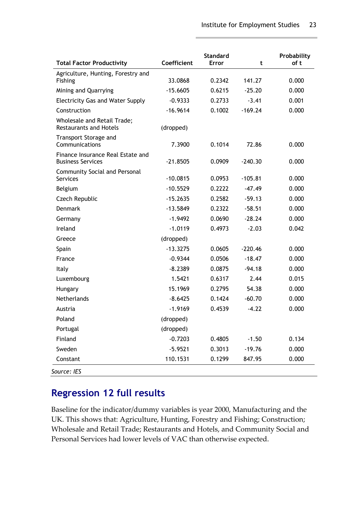| <b>Total Factor Productivity</b>                              | Coefficient | <b>Standard</b><br><b>Error</b> | t         | Probability<br>of t |
|---------------------------------------------------------------|-------------|---------------------------------|-----------|---------------------|
| Agriculture, Hunting, Forestry and<br>Fishing                 | 33.0868     | 0.2342                          | 141.27    | 0.000               |
|                                                               |             |                                 |           |                     |
| Mining and Quarrying                                          | $-15.6605$  | 0.6215                          | $-25.20$  | 0.000               |
| <b>Electricity Gas and Water Supply</b>                       | $-0.9333$   | 0.2733                          | $-3.41$   | 0.001               |
| Construction                                                  | $-16.9614$  | 0.1002                          | $-169.24$ | 0.000               |
| Wholesale and Retail Trade;<br><b>Restaurants and Hotels</b>  | (dropped)   |                                 |           |                     |
| <b>Transport Storage and</b><br>Communications                | 7.3900      | 0.1014                          | 72.86     | 0.000               |
| Finance Insurance Real Estate and<br><b>Business Services</b> | $-21.8505$  | 0.0909                          | $-240.30$ | 0.000               |
| <b>Community Social and Personal</b><br><b>Services</b>       | $-10.0815$  | 0.0953                          | $-105.81$ | 0.000               |
| Belgium                                                       | $-10.5529$  | 0.2222                          | $-47.49$  | 0.000               |
| Czech Republic                                                | $-15.2635$  | 0.2582                          | $-59.13$  | 0.000               |
| <b>Denmark</b>                                                | $-13.5849$  | 0.2322                          | $-58.51$  | 0.000               |
| Germany                                                       | $-1.9492$   | 0.0690                          | $-28.24$  | 0.000               |
| Ireland                                                       | $-1.0119$   | 0.4973                          | $-2.03$   | 0.042               |
| Greece                                                        | (dropped)   |                                 |           |                     |
| Spain                                                         | $-13.3275$  | 0.0605                          | $-220.46$ | 0.000               |
| France                                                        | $-0.9344$   | 0.0506                          | $-18.47$  | 0.000               |
| <b>Italy</b>                                                  | $-8.2389$   | 0.0875                          | $-94.18$  | 0.000               |
| Luxembourg                                                    | 1.5421      | 0.6317                          | 2.44      | 0.015               |
| Hungary                                                       | 15.1969     | 0.2795                          | 54.38     | 0.000               |
| Netherlands                                                   | $-8.6425$   | 0.1424                          | $-60.70$  | 0.000               |
| Austria                                                       | $-1.9169$   | 0.4539                          | $-4.22$   | 0.000               |
| Poland                                                        | (dropped)   |                                 |           |                     |
| Portugal                                                      | (dropped)   |                                 |           |                     |
| Finland                                                       | $-0.7203$   | 0.4805                          | $-1.50$   | 0.134               |
| Sweden                                                        | $-5.9521$   | 0.3013                          | $-19.76$  | 0.000               |
| Constant                                                      | 110.1531    | 0.1299                          | 847.95    | 0.000               |

### <span id="page-30-0"></span>**Regression 12 full results**

Baseline for the indicator/dummy variables is year 2000, Manufacturing and the UK. This shows that: Agriculture, Hunting, Forestry and Fishing; Construction; Wholesale and Retail Trade; Restaurants and Hotels, and Community Social and Personal Services had lower levels of VAC than otherwise expected.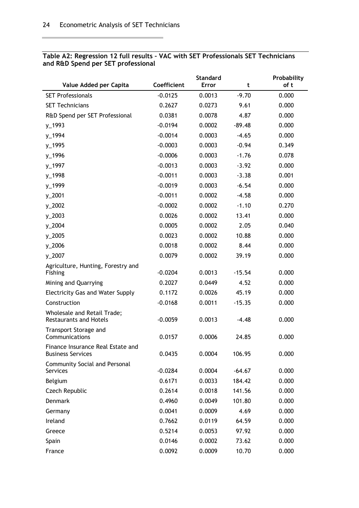| Value Added per Capita                                              | Coefficient | <b>Standard</b><br><b>Error</b> | t        | Probability<br>of t |
|---------------------------------------------------------------------|-------------|---------------------------------|----------|---------------------|
| <b>SET Professionals</b>                                            | $-0.0125$   | 0.0013                          | $-9.70$  | 0.000               |
| <b>SET Technicians</b>                                              | 0.2627      | 0.0273                          | 9.61     | 0.000               |
| R&D Spend per SET Professional                                      | 0.0381      | 0.0078                          | 4.87     | 0.000               |
| y_1993                                                              | $-0.0194$   | 0.0002                          | $-89.48$ | 0.000               |
| y_1994                                                              | $-0.0014$   | 0.0003                          | $-4.65$  | 0.000               |
| y_1995                                                              | $-0.0003$   | 0.0003                          | $-0.94$  | 0.349               |
| y_1996                                                              | $-0.0006$   | 0.0003                          | $-1.76$  | 0.078               |
| y_1997                                                              | $-0.0013$   | 0.0003                          | $-3.92$  | 0.000               |
| y_1998                                                              | $-0.0011$   | 0.0003                          | $-3.38$  | 0.001               |
| y_1999                                                              | $-0.0019$   | 0.0003                          | $-6.54$  | 0.000               |
| y_2001                                                              | $-0.0011$   | 0.0002                          | $-4.58$  | 0.000               |
| y_2002                                                              | $-0.0002$   | 0.0002                          | $-1.10$  | 0.270               |
| $y_2$ 2003                                                          | 0.0026      | 0.0002                          | 13.41    | 0.000               |
| y_2004                                                              | 0.0005      | 0.0002                          | 2.05     | 0.040               |
| y_2005                                                              | 0.0023      | 0.0002                          | 10.88    | 0.000               |
| $y_2$ 2006                                                          | 0.0018      | 0.0002                          | 8.44     | 0.000               |
| y_2007                                                              | 0.0079      | 0.0002                          | 39.19    | 0.000               |
| Agriculture, Hunting, Forestry and                                  |             |                                 |          |                     |
| Fishing                                                             | $-0.0204$   | 0.0013                          | $-15.54$ | 0.000               |
| Mining and Quarrying                                                | 0.2027      | 0.0449                          | 4.52     | 0.000               |
| <b>Electricity Gas and Water Supply</b>                             | 0.1172      | 0.0026                          | 45.19    | 0.000               |
| Construction                                                        | $-0.0168$   | 0.0011                          | $-15.35$ | 0.000               |
| <b>Wholesale and Retail Trade;</b><br><b>Restaurants and Hotels</b> | $-0.0059$   | 0.0013                          | $-4.48$  | 0.000               |
| Transport Storage and<br>Communications                             | 0.0157      | 0.0006                          | 24.85    | 0.000               |
| Finance Insurance Real Estate and<br><b>Business Services</b>       | 0.0435      | 0.0004                          | 106.95   | 0.000               |
| Community Social and Personal<br><b>Services</b>                    | $-0.0284$   | 0.0004                          | $-64.67$ | 0.000               |
| Belgium                                                             | 0.6171      | 0.0033                          | 184.42   | 0.000               |
| Czech Republic                                                      | 0.2614      | 0.0018                          | 141.56   | 0.000               |
| <b>Denmark</b>                                                      | 0.4960      | 0.0049                          | 101.80   | 0.000               |
| Germany                                                             | 0.0041      | 0.0009                          | 4.69     | 0.000               |
| Ireland                                                             | 0.7662      | 0.0119                          | 64.59    | 0.000               |
| Greece                                                              | 0.5214      | 0.0053                          | 97.92    | 0.000               |
| Spain                                                               | 0.0146      | 0.0002                          | 73.62    | 0.000               |
| France                                                              | 0.0092      | 0.0009                          | 10.70    | 0.000               |

#### **Table A2: Regression 12 full results – VAC with SET Professionals SET Technicians and R&D Spend per SET professional**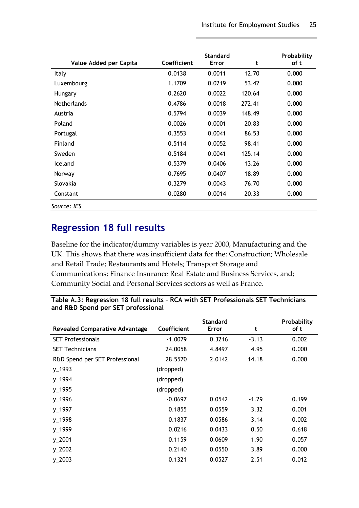| Value Added per Capita | Coefficient | <b>Standard</b><br><b>Error</b> | t      | Probability<br>of t |
|------------------------|-------------|---------------------------------|--------|---------------------|
| <b>Italy</b>           | 0.0138      | 0.0011                          | 12.70  | 0.000               |
| Luxembourg             | 1.1709      | 0.0219                          | 53.42  | 0.000               |
| Hungary                | 0.2620      | 0.0022                          | 120.64 | 0.000               |
| <b>Netherlands</b>     | 0.4786      | 0.0018                          | 272.41 | 0.000               |
| Austria                | 0.5794      | 0.0039                          | 148.49 | 0.000               |
| Poland                 | 0.0026      | 0.0001                          | 20.83  | 0.000               |
| Portugal               | 0.3553      | 0.0041                          | 86.53  | 0.000               |
| Finland                | 0.5114      | 0.0052                          | 98.41  | 0.000               |
| Sweden                 | 0.5184      | 0.0041                          | 125.14 | 0.000               |
| Iceland                | 0.5379      | 0.0406                          | 13.26  | 0.000               |
| Norway                 | 0.7695      | 0.0407                          | 18.89  | 0.000               |
| Slovakia               | 0.3279      | 0.0043                          | 76.70  | 0.000               |
| Constant               | 0.0280      | 0.0014                          | 20.33  | 0.000               |
| Source: IES            |             |                                 |        |                     |

## <span id="page-32-0"></span>**Regression 18 full results**

Baseline for the indicator/dummy variables is year 2000, Manufacturing and the UK. This shows that there was insufficient data for the: Construction; Wholesale and Retail Trade; Restaurants and Hotels; Transport Storage and Communications; Finance Insurance Real Estate and Business Services, and; Community Social and Personal Services sectors as well as France.

|                                    | Table A.3: Regression 18 full results - RCA with SET Professionals SET Technicians |
|------------------------------------|------------------------------------------------------------------------------------|
| and R&D Spend per SET professional |                                                                                    |

| <b>Revealed Comparative Advantage</b> | Coefficient | <b>Standard</b><br><b>Error</b> | t       | Probability<br>of t |
|---------------------------------------|-------------|---------------------------------|---------|---------------------|
| <b>SET Professionals</b>              | $-1.0079$   | 0.3216                          | $-3.13$ | 0.002               |
| <b>SET Technicians</b>                | 24.0058     | 4.8497                          | 4.95    | 0.000               |
| R&D Spend per SET Professional        | 28.5570     | 2.0142                          | 14.18   | 0.000               |
| $y_1$ 1993                            | (dropped)   |                                 |         |                     |
| y_1994                                | (dropped)   |                                 |         |                     |
| $y_1$ 1995                            | (dropped)   |                                 |         |                     |
| y_1996                                | $-0.0697$   | 0.0542                          | $-1.29$ | 0.199               |
| y_1997                                | 0.1855      | 0.0559                          | 3.32    | 0.001               |
| y_1998                                | 0.1837      | 0.0586                          | 3.14    | 0.002               |
| y_1999                                | 0.0216      | 0.0433                          | 0.50    | 0.618               |
| $y_22001$                             | 0.1159      | 0.0609                          | 1.90    | 0.057               |
| $y_2$ 2002                            | 0.2140      | 0.0550                          | 3.89    | 0.000               |
| $y_2$ 2003                            | 0.1321      | 0.0527                          | 2.51    | 0.012               |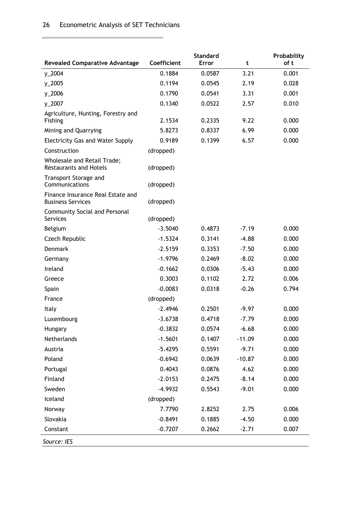and the control of the control of the control of the control of the control of the control of the control of the

 $\mathcal{C}^{\mathcal{A}}$ 

| <b>Revealed Comparative Advantage</b>                         | Coefficient | <b>Standard</b><br><b>Error</b> | t        | Probability<br>of t |
|---------------------------------------------------------------|-------------|---------------------------------|----------|---------------------|
| y_2004                                                        | 0.1884      | 0.0587                          | 3.21     | 0.001               |
| y_2005                                                        | 0.1194      | 0.0545                          | 2.19     | 0.028               |
| y_2006                                                        | 0.1790      | 0.0541                          | 3.31     | 0.001               |
| y_2007                                                        | 0.1340      | 0.0522                          | 2.57     | 0.010               |
| Agriculture, Hunting, Forestry and<br>Fishing                 | 2.1534      | 0.2335                          | 9.22     | 0.000               |
| Mining and Quarrying                                          | 5.8273      | 0.8337                          | 6.99     | 0.000               |
| <b>Electricity Gas and Water Supply</b>                       | 0.9189      | 0.1399                          | 6.57     | 0.000               |
| Construction                                                  | (dropped)   |                                 |          |                     |
| Wholesale and Retail Trade;<br><b>Restaurants and Hotels</b>  | (dropped)   |                                 |          |                     |
| Transport Storage and<br>Communications                       | (dropped)   |                                 |          |                     |
| Finance Insurance Real Estate and<br><b>Business Services</b> | (dropped)   |                                 |          |                     |
| <b>Community Social and Personal</b><br>Services              | (dropped)   |                                 |          |                     |
| Belgium                                                       | $-3.5040$   | 0.4873                          | $-7.19$  | 0.000               |
| Czech Republic                                                | $-1.5324$   | 0.3141                          | $-4.88$  | 0.000               |
| <b>Denmark</b>                                                | $-2.5159$   | 0.3353                          | $-7.50$  | 0.000               |
| Germany                                                       | $-1.9796$   | 0.2469                          | $-8.02$  | 0.000               |
| Ireland                                                       | $-0.1662$   | 0.0306                          | $-5.43$  | 0.000               |
| Greece                                                        | 0.3003      | 0.1102                          | 2.72     | 0.006               |
| Spain                                                         | $-0.0083$   | 0.0318                          | $-0.26$  | 0.794               |
| France                                                        | (dropped)   |                                 |          |                     |
| Italy                                                         | $-2.4946$   | 0.2501                          | $-9.97$  | 0.000               |
| Luxembourg                                                    | $-3.6738$   | 0.4718                          | $-7.79$  | 0.000               |
| Hungary                                                       | $-0.3832$   | 0.0574                          | $-6.68$  | 0.000               |
| Netherlands                                                   | $-1.5601$   | 0.1407                          | $-11.09$ | 0.000               |
| Austria                                                       | $-5.4295$   | 0.5591                          | $-9.71$  | 0.000               |
| Poland                                                        | $-0.6942$   | 0.0639                          | $-10.87$ | 0.000               |
| Portugal                                                      | 0.4043      | 0.0876                          | 4.62     | 0.000               |
| Finland                                                       | $-2.0153$   | 0.2475                          | $-8.14$  | 0.000               |
| Sweden                                                        | $-4.9932$   | 0.5543                          | $-9.01$  | 0.000               |
| Iceland                                                       | (dropped)   |                                 |          |                     |
| Norway                                                        | 7.7790      | 2.8252                          | 2.75     | 0.006               |
| Slovakia                                                      | $-0.8491$   | 0.1885                          | $-4.50$  | 0.000               |
| Constant                                                      | $-0.7207$   | 0.2662                          | $-2.71$  | 0.007               |
| Source: IES                                                   |             |                                 |          |                     |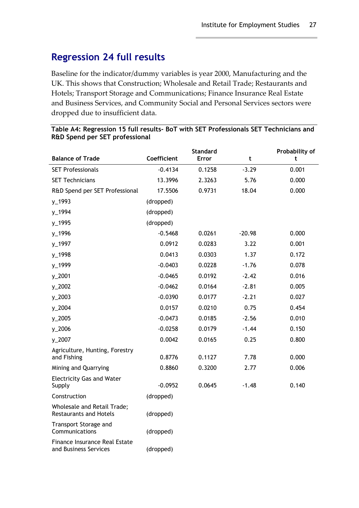## <span id="page-34-0"></span>**Regression 24 full results**

Baseline for the indicator/dummy variables is year 2000, Manufacturing and the UK. This shows that Construction; Wholesale and Retail Trade; Restaurants and Hotels; Transport Storage and Communications; Finance Insurance Real Estate and Business Services, and Community Social and Personal Services sectors were dropped due to insufficient data.

| <b>Balance of Trade</b>                                      | Coefficient | <b>Standard</b><br><b>Error</b> | t        | Probability of<br>t |
|--------------------------------------------------------------|-------------|---------------------------------|----------|---------------------|
| <b>SET Professionals</b>                                     | $-0.4134$   | 0.1258                          | $-3.29$  | 0.001               |
| <b>SET Technicians</b>                                       | 13.3996     | 2.3263                          | 5.76     | 0.000               |
| R&D Spend per SET Professional                               | 17.5506     | 0.9731                          | 18.04    | 0.000               |
| y_1993                                                       | (dropped)   |                                 |          |                     |
| y_1994                                                       | (dropped)   |                                 |          |                     |
| y_1995                                                       | (dropped)   |                                 |          |                     |
| y_1996                                                       | $-0.5468$   | 0.0261                          | $-20.98$ | 0.000               |
| y_1997                                                       | 0.0912      | 0.0283                          | 3.22     | 0.001               |
| y_1998                                                       | 0.0413      | 0.0303                          | 1.37     | 0.172               |
| y_1999                                                       | $-0.0403$   | 0.0228                          | $-1.76$  | 0.078               |
| y_2001                                                       | $-0.0465$   | 0.0192                          | $-2.42$  | 0.016               |
| y_2002                                                       | $-0.0462$   | 0.0164                          | $-2.81$  | 0.005               |
| $y_2$ 2003                                                   | $-0.0390$   | 0.0177                          | $-2.21$  | 0.027               |
| y_2004                                                       | 0.0157      | 0.0210                          | 0.75     | 0.454               |
| y_2005                                                       | $-0.0473$   | 0.0185                          | $-2.56$  | 0.010               |
| y_2006                                                       | $-0.0258$   | 0.0179                          | $-1.44$  | 0.150               |
| $y_22007$                                                    | 0.0042      | 0.0165                          | 0.25     | 0.800               |
| Agriculture, Hunting, Forestry<br>and Fishing                | 0.8776      | 0.1127                          | 7.78     | 0.000               |
| Mining and Quarrying                                         | 0.8860      | 0.3200                          | 2.77     | 0.006               |
| <b>Electricity Gas and Water</b><br>Supply                   | $-0.0952$   | 0.0645                          | $-1.48$  | 0.140               |
| Construction                                                 | (dropped)   |                                 |          |                     |
| Wholesale and Retail Trade;<br><b>Restaurants and Hotels</b> | (dropped)   |                                 |          |                     |
| Transport Storage and<br>Communications                      | (dropped)   |                                 |          |                     |
| Finance Insurance Real Estate<br>and Business Services       | (dropped)   |                                 |          |                     |

**Table A4: Regression 15 full results- BoT with SET Professionals SET Technicians and R&D Spend per SET professional**